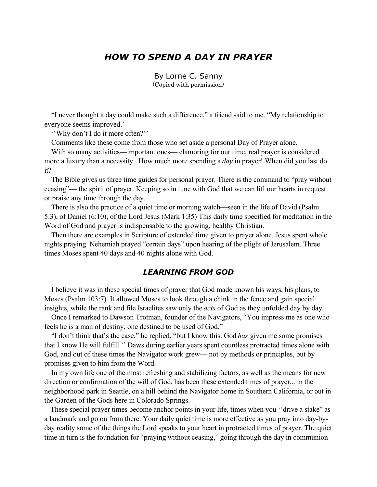# *HOW TO SPEND A DAY IN PRAYER*

By Lorne C. Sanny (Copied with permission)

"I never thought a day could make such a difference," a friend said to me. "My relationship to everyone seems improved.'

''Why don't I do it more often?''

Comments like these come from those who set aside a personal Day of Prayer alone.

With so many activities—important ones— clamoring for our time, real prayer is considered more a luxury than a necessity. How much more spending a *day* in prayer! When did you last do it?

The Bible gives us three time guides for personal prayer. There is the command to "pray without ceasing"— the spirit of prayer. Keeping so in tune with God that we can lift our hearts in request or praise any time through the day.

There is also the practice of a quiet time or morning watch—seen in the life of David (Psalm 5:3), of Daniel (6:10), of the Lord Jesus (Mark 1:35) This daily time specified for meditation in the Word of God and prayer is indispensable to the growing, healthy Christian.

Then there are examples in Scripture of extended time given to prayer alone. Jesus spent whole nights praying. Nehemiah prayed "certain days" upon hearing of the plight of Jerusalem. Three times Moses spent 40 days and 40 nights alone with God.

## *LEARNING FROM GOD*

I believe it was in these special times of prayer that God made known his ways, his plans, to Moses (Psalm 103:7). It allowed Moses to look through a chink in the fence and gain special insights, while the rank and file Israelites saw only the *acts* of God as they unfolded day by day.

Once I remarked to Dawson Trotman, founder of the Navigators, "You impress me as one who feels he is a man of destiny, one destined to be used of God."

"I don't think that's the case," he replied, "but I know this. God *has* given me some promises that I know He will fulfill.'' Daws during earlier years spent countless protracted times alone with God, and out of these times the Navigator work grew— not by methods or principles, but by promises given to him from the Word.

In my own life one of the most refreshing and stabilizing factors, as well as the means for new direction or confirmation of the will of God, has been these extended times of prayer... in the neighborhood park in Seattle, on a hill behind the Navigator home in Southern California, or out in the Garden of the Gods here in Colorado Springs.

These special prayer times become anchor points in your life, times when you ''drive a stake" as a landmark and go on from there. Your daily quiet time is more effective as you pray into day-byday reality some of the things the Lord speaks to your heart in protracted times of prayer. The quiet time in turn is the foundation for "praying without ceasing," going through the day in communion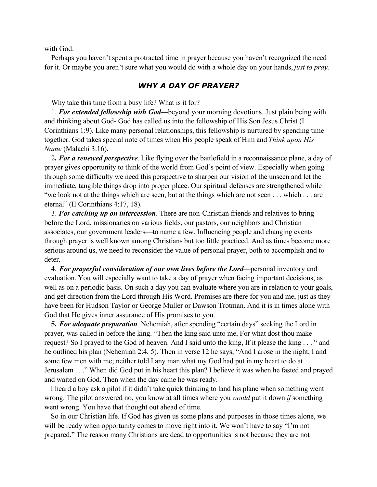with God.

Perhaps you haven't spent a protracted time in prayer because you haven't recognized the need for it. Or maybe you aren't sure what you would do with a whole day on your hands, *just to pray.*

# *WHY A DAY OF PRAYER?*

Why take this time from a busy life? What is it for?

1. *For extended fellowship with God*—beyond your morning devotions. Just plain being with and thinking about God- God has called us into the fellowship of His Son Jesus Christ (I Corinthians 1:9). Like many personal relationships, this fellowship is nurtured by spending time together. God takes special note of times when His people speak of Him and *Think upon His Name* (Malachi 3:16).

2*. For a renewed perspective*. Like flying over the battlefield in a reconnaissance plane, a day of prayer gives opportunity to think of the world from God's point of view. Especially when going through some difficulty we need this perspective to sharpen our vision of the unseen and let the immediate, tangible things drop into proper place. Our spiritual defenses are strengthened while "we look not at the things which are seen, but at the things which are not seen . . . which . . . are eternal" (II Corinthians 4:17, 18).

3. *For catching up on intercession*. There are non-Christian friends and relatives to bring before the Lord, missionaries on various fields, our pastors, our neighbors and Christian associates, our government leaders—to name a few. Influencing people and changing events through prayer is well known among Christians but too little practiced. And as times become more serious around us, we need to reconsider the value of personal prayer, both to accomplish and to deter.

4. *For prayerful consideration of our own lives before the Lord*—personal inventory and evaluation. You will especially want to take a day of prayer when facing important decisions, as well as on a periodic basis. On such a day you can evaluate where you are in relation to your goals, and get direction from the Lord through His Word. Promises are there for you and me, just as they have been for Hudson Taylor or George Muller or Dawson Trotman. And it is in times alone with God that He gives inner assurance of His promises to you.

**5.** *For adequate preparation*. Nehemiah, after spending "certain days" seeking the Lord in prayer, was called in before the king. "Then the king said unto me, For what dost thou make request? So I prayed to the God of heaven. And I said unto the king, If it please the king . . . " and he outlined his plan (Nehemiah 2:4, 5). Then in verse 12 he says, "And I arose in the night, I and some few men with me; neither told I any man what my God had put in my heart to do at Jerusalem . . ." When did God put in his heart this plan? I believe it was when he fasted and prayed and waited on God. Then when the day came he was ready.

I heard a boy ask a pilot if it didn't take quick thinking to land his plane when something went wrong. The pilot answered no, you know at all times where you *would* put it down *if* something went wrong. You have that thought out ahead of time.

So in our Christian life. If God has given us some plans and purposes in those times alone, we will be ready when opportunity comes to move right into it. We won't have to say "I'm not prepared." The reason many Christians are dead to opportunities is not because they are not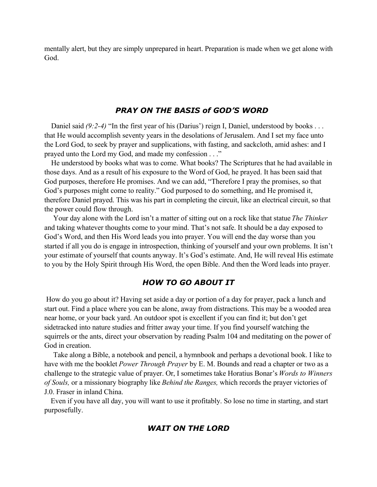mentally alert, but they are simply unprepared in heart. Preparation is made when we get alone with God.

#### *PRAY ON THE BASIS of GOD'S WORD*

Daniel said (9:2-4) "In the first year of his (Darius') reign I, Daniel, understood by books . . . that He would accomplish seventy years in the desolations of Jerusalem. And I set my face unto the Lord God, to seek by prayer and supplications, with fasting, and sackcloth, amid ashes: and I prayed unto the Lord my God, and made my confession . . ."

He understood by books what was to come. What books? The Scriptures that he had available in those days. And as a result of his exposure to the Word of God, he prayed. It has been said that God purposes, therefore He promises. And we can add, "Therefore I pray the promises, so that God's purposes might come to reality." God purposed to do something, and He promised it, therefore Daniel prayed. This was his part in completing the circuit, like an electrical circuit, so that the power could flow through.

 Your day alone with the Lord isn't a matter of sitting out on a rock like that statue *The Thinker*  and taking whatever thoughts come to your mind. That's not safe. It should be a day exposed to God's Word, and then His Word leads you into prayer. You will end the day worse than you started if all you do is engage in introspection, thinking of yourself and your own problems. It isn't your estimate of yourself that counts anyway. It's God's estimate. And, He will reveal His estimate to you by the Holy Spirit through His Word, the open Bible. And then the Word leads into prayer.

# *HOW TO GO ABOUT IT*

How do you go about it? Having set aside a day or portion of a day for prayer, pack a lunch and start out. Find a place where you can be alone, away from distractions. This may be a wooded area near home, or your back yard. An outdoor spot is excellent if you can find it; but don't get sidetracked into nature studies and fritter away your time. If you find yourself watching the squirrels or the ants, direct your observation by reading Psalm 104 and meditating on the power of God in creation.

 Take along a Bible, a notebook and pencil, a hymnbook and perhaps a devotional book. I like to have with me the booklet *Power Through Prayer* by E. M. Bounds and read a chapter or two as a challenge to the strategic value of prayer. Or, I sometimes take Horatius Bonar's *Words to Winners of Souls,* or a missionary biography like *Behind the Ranges,* which records the prayer victories of J.0. Fraser in inland China.

Even if you have all day, you will want to use it profitably. So lose no time in starting, and start purposefully.

# *WAIT ON THE LORD*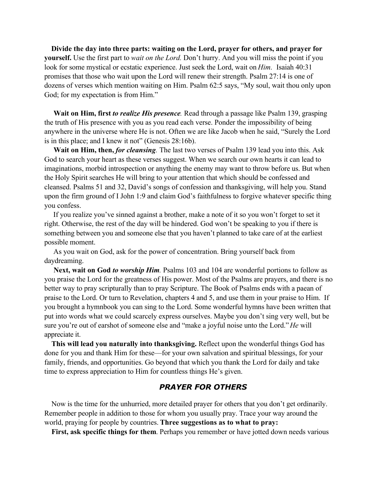**Divide the day into three parts: waiting on the Lord, prayer for others, and prayer for yourself.** Use the first part to *wait on the Lord.* Don't hurry. And you will miss the point if you look for some mystical or ecstatic experience. Just seek the Lord, wait on *Him.* Isaiah 40:31 promises that those who wait upon the Lord will renew their strength. Psalm 27:14 is one of dozens of verses which mention waiting on Him. Psalm 62:5 says, "My soul, wait thou only upon God; for my expectation is from Him."

 **Wait on Him, first** *to realize His presence.* Read through a passage like Psalm 139, grasping the truth of His presence with you as you read each verse. Ponder the impossibility of being anywhere in the universe where He is not. Often we are like Jacob when he said, "Surely the Lord is in this place; and I knew it not" (Genesis 28:16b).

 **Wait on Him, then,** *for cleansing.* The last two verses of Psalm 139 lead you into this. Ask God to search your heart as these verses suggest. When we search our own hearts it can lead to imaginations, morbid introspection or anything the enemy may want to throw before us. But when the Holy Spirit searches He will bring to your attention that which should be confessed and cleansed. Psalms 51 and 32, David's songs of confession and thanksgiving, will help you. Stand upon the firm ground of I John 1:9 and claim God's faithfulness to forgive whatever specific thing you confess.

 If you realize you've sinned against a brother, make a note of it so you won't forget to set it right. Otherwise, the rest of the day will be hindered. God won't be speaking to you if there is something between you and someone else that you haven't planned to take care of at the earliest possible moment.

 As you wait on God, ask for the power of concentration. Bring yourself back from daydreaming.

 **Next, wait on God** *to worship Him.* Psalms 103 and 104 are wonderful portions to follow as you praise the Lord for the greatness of His power. Most of the Psalms are prayers, and there is no better way to pray scripturally than to pray Scripture. The Book of Psalms ends with a paean of praise to the Lord. Or turn to Revelation, chapters 4 and 5, and use them in your praise to Him. If you brought a hymnbook you can sing to the Lord. Some wonderful hymns have been written that put into words what we could scarcely express ourselves. Maybe you don't sing very well, but be sure you're out of earshot of someone else and "make a joyful noise unto the Lord." *He* will appreciate it.

**This will lead you naturally into thanksgiving.** Reflect upon the wonderful things God has done for you and thank Him for these—for your own salvation and spiritual blessings, for your family, friends, and opportunities. Go beyond that which you thank the Lord for daily and take time to express appreciation to Him for countless things He's given.

## *PRAYER FOR OTHERS*

Now is the time for the unhurried, more detailed prayer for others that you don't get ordinarily. Remember people in addition to those for whom you usually pray. Trace your way around the world, praying for people by countries. **Three suggestions as to what to pray:**

**First, ask specific things for them**. Perhaps you remember or have jotted down needs various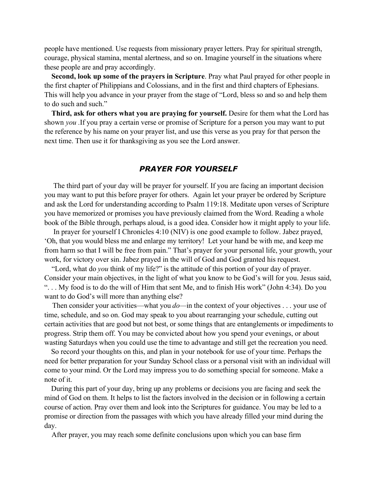people have mentioned. Use requests from missionary prayer letters. Pray for spiritual strength, courage, physical stamina, mental alertness, and so on. Imagine yourself in the situations where these people are and pray accordingly.

**Second, look up some of the prayers in Scripture**. Pray what Paul prayed for other people in the first chapter of Philippians and Colossians, and in the first and third chapters of Ephesians. This will help you advance in your prayer from the stage of "Lord, bless so and so and help them to do such and such."

**Third, ask for others what you are praying for yourself.** Desire for them what the Lord has shown *you .*If you pray a certain verse or promise of Scripture for a person you may want to put the reference by his name on your prayer list, and use this verse as you pray for that person the next time. Then use it for thanksgiving as you see the Lord answer.

#### *PRAYER FOR YOURSELF*

 The third part of your day will be prayer for yourself. If you are facing an important decision you may want to put this before prayer for others. Again let your prayer be ordered by Scripture and ask the Lord for understanding according to Psalm 119:18. Meditate upon verses of Scripture you have memorized or promises you have previously claimed from the Word. Reading a whole book of the Bible through, perhaps aloud, is a good idea. Consider how it might apply to your life.

 In prayer for yourself I Chronicles 4:10 (NIV) is one good example to follow. Jabez prayed, 'Oh, that you would bless me and enlarge my territory! Let your hand be with me, and keep me from harm so that I will be free from pain." That's prayer for your personal life, your growth, your work, for victory over sin. Jabez prayed in the will of God and God granted his request.

 "Lord, what do *you* think of my life?" is the attitude of this portion of your day of prayer. Consider your main objectives, in the light of what you know to be God's will for you. Jesus said, ". . . My food is to do the will of Him that sent Me, and to finish His work" (John 4:34). Do you want to do God's will more than anything else?

Then consider your activities—what you *do—*in the context of your objectives . . . your use of time, schedule, and so on. God may speak to you about rearranging your schedule, cutting out certain activities that are good but not best, or some things that are entanglements or impediments to progress. Strip them off. You may be convicted about how you spend your evenings, or about wasting Saturdays when you could use the time to advantage and still get the recreation you need.

So record your thoughts on this, and plan in your notebook for use of your time. Perhaps the need for better preparation for your Sunday School class or a personal visit with an individual will come to your mind. Or the Lord may impress you to do something special for someone. Make a note of it.

During this part of your day, bring up any problems or decisions you are facing and seek the mind of God on them. It helps to list the factors involved in the decision or in following a certain course of action. Pray over them and look into the Scriptures for guidance. You may be led to a promise or direction from the passages with which you have already filled your mind during the day.

After prayer, you may reach some definite conclusions upon which you can base firm